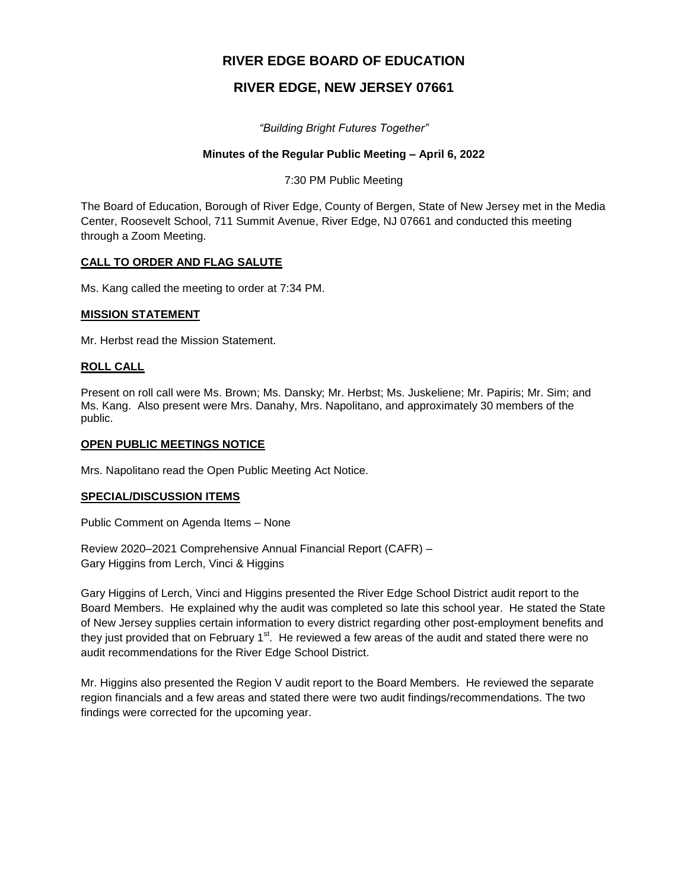# **RIVER EDGE BOARD OF EDUCATION**

# **RIVER EDGE, NEW JERSEY 07661**

*"Building Bright Futures Together"*

## **Minutes of the Regular Public Meeting – April 6, 2022**

7:30 PM Public Meeting

The Board of Education, Borough of River Edge, County of Bergen, State of New Jersey met in the Media Center, Roosevelt School, 711 Summit Avenue, River Edge, NJ 07661 and conducted this meeting through a Zoom Meeting.

## **CALL TO ORDER AND FLAG SALUTE**

Ms. Kang called the meeting to order at 7:34 PM.

## **MISSION STATEMENT**

Mr. Herbst read the Mission Statement.

## **ROLL CALL**

Present on roll call were Ms. Brown; Ms. Dansky; Mr. Herbst; Ms. Juskeliene; Mr. Papiris; Mr. Sim; and Ms. Kang. Also present were Mrs. Danahy, Mrs. Napolitano, and approximately 30 members of the public.

#### **OPEN PUBLIC MEETINGS NOTICE**

Mrs. Napolitano read the Open Public Meeting Act Notice.

## **SPECIAL/DISCUSSION ITEMS**

Public Comment on Agenda Items – None

Review 2020–2021 Comprehensive Annual Financial Report (CAFR) – Gary Higgins from Lerch, Vinci & Higgins

Gary Higgins of Lerch, Vinci and Higgins presented the River Edge School District audit report to the Board Members. He explained why the audit was completed so late this school year. He stated the State of New Jersey supplies certain information to every district regarding other post-employment benefits and they just provided that on February  $1<sup>st</sup>$ . He reviewed a few areas of the audit and stated there were no audit recommendations for the River Edge School District.

Mr. Higgins also presented the Region V audit report to the Board Members. He reviewed the separate region financials and a few areas and stated there were two audit findings/recommendations. The two findings were corrected for the upcoming year.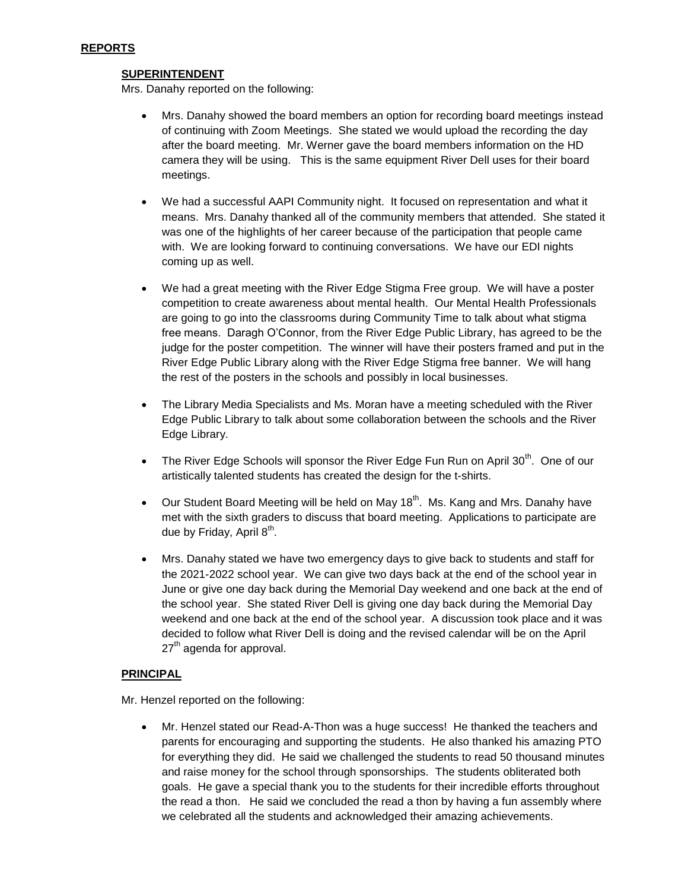## **SUPERINTENDENT**

Mrs. Danahy reported on the following:

- Mrs. Danahy showed the board members an option for recording board meetings instead of continuing with Zoom Meetings. She stated we would upload the recording the day after the board meeting. Mr. Werner gave the board members information on the HD camera they will be using. This is the same equipment River Dell uses for their board meetings.
- We had a successful AAPI Community night. It focused on representation and what it means. Mrs. Danahy thanked all of the community members that attended. She stated it was one of the highlights of her career because of the participation that people came with. We are looking forward to continuing conversations. We have our EDI nights coming up as well.
- We had a great meeting with the River Edge Stigma Free group. We will have a poster competition to create awareness about mental health. Our Mental Health Professionals are going to go into the classrooms during Community Time to talk about what stigma free means. Daragh O'Connor, from the River Edge Public Library, has agreed to be the judge for the poster competition. The winner will have their posters framed and put in the River Edge Public Library along with the River Edge Stigma free banner. We will hang the rest of the posters in the schools and possibly in local businesses.
- The Library Media Specialists and Ms. Moran have a meeting scheduled with the River Edge Public Library to talk about some collaboration between the schools and the River Edge Library.
- The River Edge Schools will sponsor the River Edge Fun Run on April  $30<sup>th</sup>$ . One of our artistically talented students has created the design for the t-shirts.
- $\bullet$  Our Student Board Meeting will be held on May 18<sup>th</sup>. Ms. Kang and Mrs. Danahy have met with the sixth graders to discuss that board meeting. Applications to participate are due by Friday, April 8<sup>th</sup>.
- Mrs. Danahy stated we have two emergency days to give back to students and staff for the 2021-2022 school year. We can give two days back at the end of the school year in June or give one day back during the Memorial Day weekend and one back at the end of the school year. She stated River Dell is giving one day back during the Memorial Day weekend and one back at the end of the school year. A discussion took place and it was decided to follow what River Dell is doing and the revised calendar will be on the April  $27<sup>th</sup>$  agenda for approval.

## **PRINCIPAL**

Mr. Henzel reported on the following:

 Mr. Henzel stated our Read-A-Thon was a huge success! He thanked the teachers and parents for encouraging and supporting the students. He also thanked his amazing PTO for everything they did. He said we challenged the students to read 50 thousand minutes and raise money for the school through sponsorships. The students obliterated both goals. He gave a special thank you to the students for their incredible efforts throughout the read a thon. He said we concluded the read a thon by having a fun assembly where we celebrated all the students and acknowledged their amazing achievements.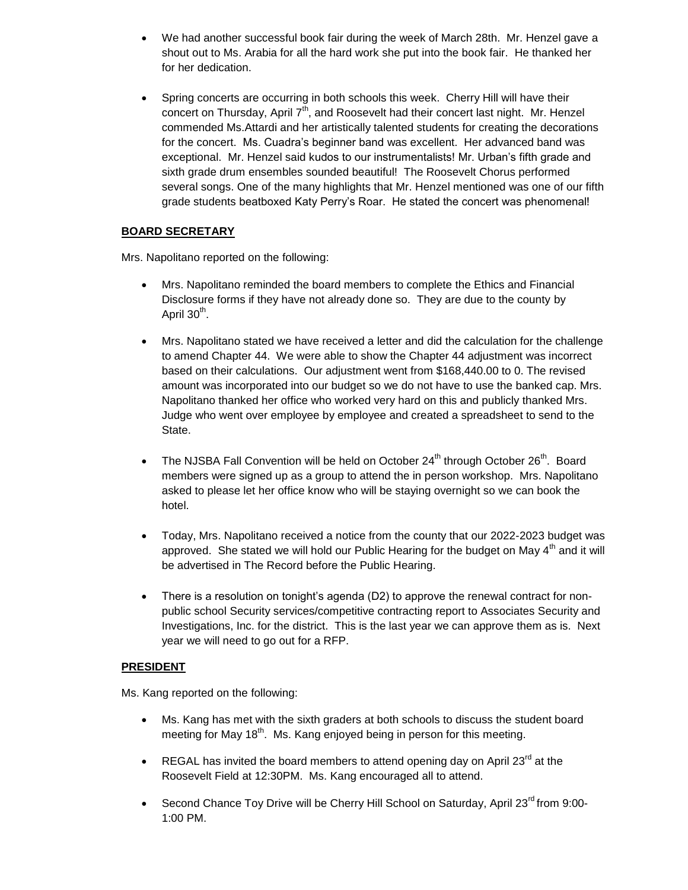- We had another successful book fair during the week of March 28th. Mr. Henzel gave a shout out to Ms. Arabia for all the hard work she put into the book fair. He thanked her for her dedication.
- Spring concerts are occurring in both schools this week. Cherry Hill will have their concert on Thursday, April 7<sup>th</sup>, and Roosevelt had their concert last night. Mr. Henzel commended Ms.Attardi and her artistically talented students for creating the decorations for the concert. Ms. Cuadra's beginner band was excellent. Her advanced band was exceptional. Mr. Henzel said kudos to our instrumentalists! Mr. Urban's fifth grade and sixth grade drum ensembles sounded beautiful! The Roosevelt Chorus performed several songs. One of the many highlights that Mr. Henzel mentioned was one of our fifth grade students beatboxed Katy Perry's Roar. He stated the concert was phenomenal!

## **BOARD SECRETARY**

Mrs. Napolitano reported on the following:

- Mrs. Napolitano reminded the board members to complete the Ethics and Financial Disclosure forms if they have not already done so. They are due to the county by April 30<sup>th</sup>.
- Mrs. Napolitano stated we have received a letter and did the calculation for the challenge to amend Chapter 44. We were able to show the Chapter 44 adjustment was incorrect based on their calculations. Our adjustment went from \$168,440.00 to 0. The revised amount was incorporated into our budget so we do not have to use the banked cap. Mrs. Napolitano thanked her office who worked very hard on this and publicly thanked Mrs. Judge who went over employee by employee and created a spreadsheet to send to the State.
- The NJSBA Fall Convention will be held on October  $24^{th}$  through October  $26^{th}$ . Board members were signed up as a group to attend the in person workshop. Mrs. Napolitano asked to please let her office know who will be staying overnight so we can book the hotel.
- Today, Mrs. Napolitano received a notice from the county that our 2022-2023 budget was approved. She stated we will hold our Public Hearing for the budget on May 4<sup>th</sup> and it will be advertised in The Record before the Public Hearing.
- There is a resolution on tonight's agenda (D2) to approve the renewal contract for nonpublic school Security services/competitive contracting report to Associates Security and Investigations, Inc. for the district. This is the last year we can approve them as is. Next year we will need to go out for a RFP.

## **PRESIDENT**

Ms. Kang reported on the following:

- Ms. Kang has met with the sixth graders at both schools to discuss the student board meeting for May 18<sup>th</sup>. Ms. Kang enjoyed being in person for this meeting.
- EREGAL has invited the board members to attend opening day on April 23 $^{rd}$  at the Roosevelt Field at 12:30PM. Ms. Kang encouraged all to attend.
- Second Chance Toy Drive will be Cherry Hill School on Saturday, April 23<sup>rd</sup> from 9:00-1:00 PM.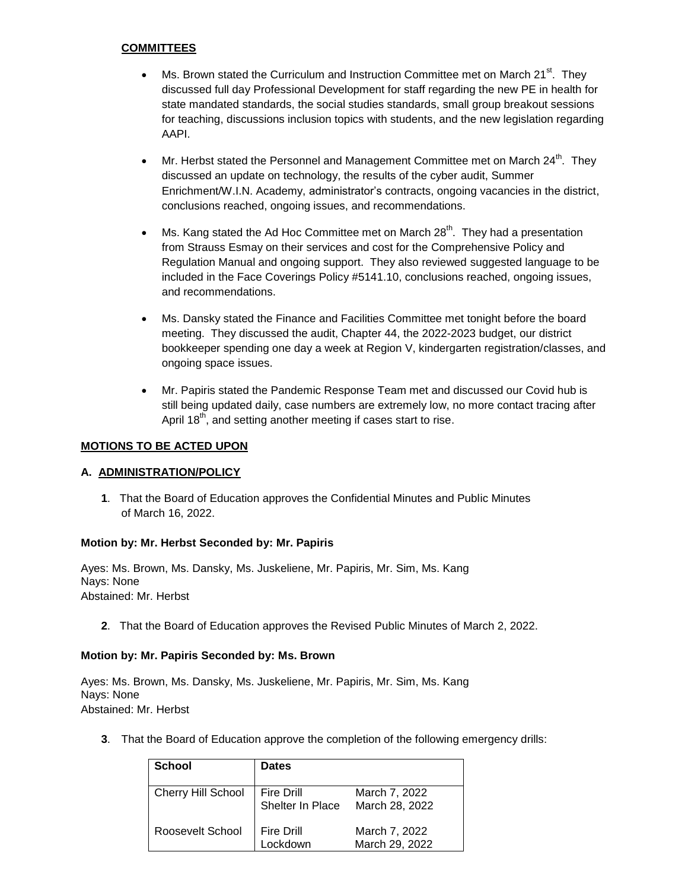## **COMMITTEES**

- Ms. Brown stated the Curriculum and Instruction Committee met on March 21 $\mathrm{^{st}}$ . They discussed full day Professional Development for staff regarding the new PE in health for state mandated standards, the social studies standards, small group breakout sessions for teaching, discussions inclusion topics with students, and the new legislation regarding AAPI.
- $\bullet$  Mr. Herbst stated the Personnel and Management Committee met on March 24<sup>th</sup>. They discussed an update on technology, the results of the cyber audit, Summer Enrichment/W.I.N. Academy, administrator's contracts, ongoing vacancies in the district, conclusions reached, ongoing issues, and recommendations.
- $\bullet$  Ms. Kang stated the Ad Hoc Committee met on March 28<sup>th</sup>. They had a presentation from Strauss Esmay on their services and cost for the Comprehensive Policy and Regulation Manual and ongoing support. They also reviewed suggested language to be included in the Face Coverings Policy #5141.10, conclusions reached, ongoing issues, and recommendations.
- Ms. Dansky stated the Finance and Facilities Committee met tonight before the board meeting. They discussed the audit, Chapter 44, the 2022-2023 budget, our district bookkeeper spending one day a week at Region V, kindergarten registration/classes, and ongoing space issues.
- Mr. Papiris stated the Pandemic Response Team met and discussed our Covid hub is still being updated daily, case numbers are extremely low, no more contact tracing after April 18<sup>th</sup>, and setting another meeting if cases start to rise.

## **MOTIONS TO BE ACTED UPON**

## **A. ADMINISTRATION/POLICY**

**1**. That the Board of Education approves the Confidential Minutes and Public Minutes of March 16, 2022.

## **Motion by: Mr. Herbst Seconded by: Mr. Papiris**

Ayes: Ms. Brown, Ms. Dansky, Ms. Juskeliene, Mr. Papiris, Mr. Sim, Ms. Kang Nays: None Abstained: Mr. Herbst

**2**. That the Board of Education approves the Revised Public Minutes of March 2, 2022.

## **Motion by: Mr. Papiris Seconded by: Ms. Brown**

Ayes: Ms. Brown, Ms. Dansky, Ms. Juskeliene, Mr. Papiris, Mr. Sim, Ms. Kang Nays: None Abstained: Mr. Herbst

**3**. That the Board of Education approve the completion of the following emergency drills:

| <b>School</b>      | <b>Dates</b>                   |                                 |
|--------------------|--------------------------------|---------------------------------|
| Cherry Hill School | Fire Drill<br>Shelter In Place | March 7, 2022<br>March 28, 2022 |
| Roosevelt School   | Fire Drill<br>Lockdown         | March 7, 2022<br>March 29, 2022 |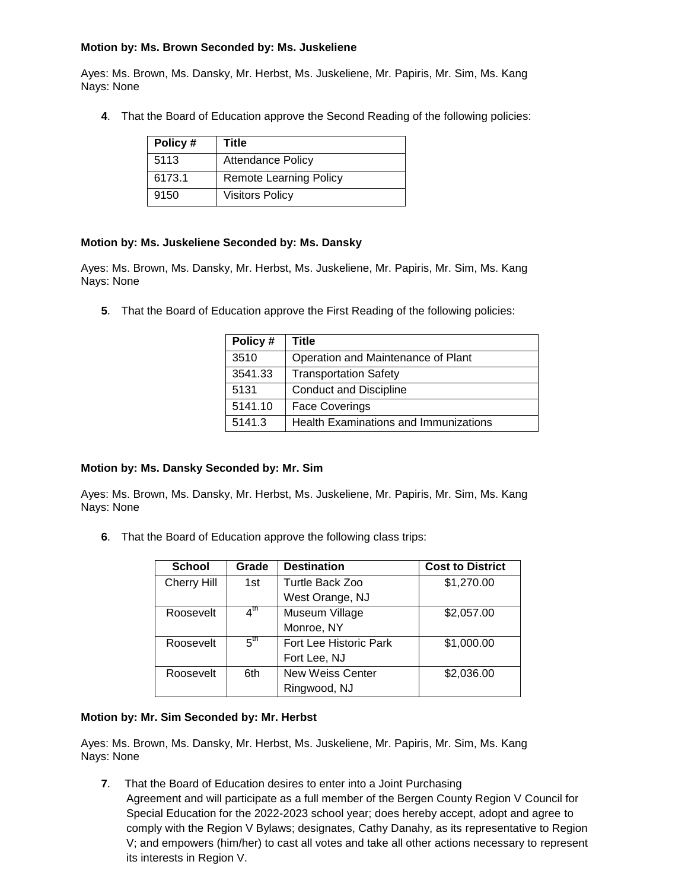## **Motion by: Ms. Brown Seconded by: Ms. Juskeliene**

Ayes: Ms. Brown, Ms. Dansky, Mr. Herbst, Ms. Juskeliene, Mr. Papiris, Mr. Sim, Ms. Kang Nays: None

**4**. That the Board of Education approve the Second Reading of the following policies:

| Policy# | Title                         |  |
|---------|-------------------------------|--|
| 5113    | <b>Attendance Policy</b>      |  |
| 6173.1  | <b>Remote Learning Policy</b> |  |
| 9150    | <b>Visitors Policy</b>        |  |

## **Motion by: Ms. Juskeliene Seconded by: Ms. Dansky**

Ayes: Ms. Brown, Ms. Dansky, Mr. Herbst, Ms. Juskeliene, Mr. Papiris, Mr. Sim, Ms. Kang Nays: None

**5**. That the Board of Education approve the First Reading of the following policies:

| Policy # | Title                                 |  |
|----------|---------------------------------------|--|
| 3510     | Operation and Maintenance of Plant    |  |
| 3541.33  | <b>Transportation Safety</b>          |  |
| 5131     | <b>Conduct and Discipline</b>         |  |
| 5141.10  | <b>Face Coverings</b>                 |  |
| 5141.3   | Health Examinations and Immunizations |  |

#### **Motion by: Ms. Dansky Seconded by: Mr. Sim**

Ayes: Ms. Brown, Ms. Dansky, Mr. Herbst, Ms. Juskeliene, Mr. Papiris, Mr. Sim, Ms. Kang Nays: None

**6**. That the Board of Education approve the following class trips:

| School             | Grade           | <b>Destination</b>      | <b>Cost to District</b> |
|--------------------|-----------------|-------------------------|-------------------------|
| <b>Cherry Hill</b> | 1st             | Turtle Back Zoo         | \$1,270.00              |
|                    |                 | West Orange, NJ         |                         |
| Roosevelt          | $4^{\text{th}}$ | Museum Village          | \$2,057.00              |
|                    |                 | Monroe, NY              |                         |
| Roosevelt          | $5^{\text{th}}$ | Fort Lee Historic Park  | \$1,000.00              |
|                    |                 | Fort Lee, NJ            |                         |
| Roosevelt          | 6th             | <b>New Weiss Center</b> | \$2,036.00              |
|                    |                 | Ringwood, NJ            |                         |

#### **Motion by: Mr. Sim Seconded by: Mr. Herbst**

Ayes: Ms. Brown, Ms. Dansky, Mr. Herbst, Ms. Juskeliene, Mr. Papiris, Mr. Sim, Ms. Kang Nays: None

**7**. That the Board of Education desires to enter into a Joint Purchasing

Agreement and will participate as a full member of the Bergen County Region V Council for Special Education for the 2022-2023 school year; does hereby accept, adopt and agree to comply with the Region V Bylaws; designates, Cathy Danahy, as its representative to Region V; and empowers (him/her) to cast all votes and take all other actions necessary to represent its interests in Region V.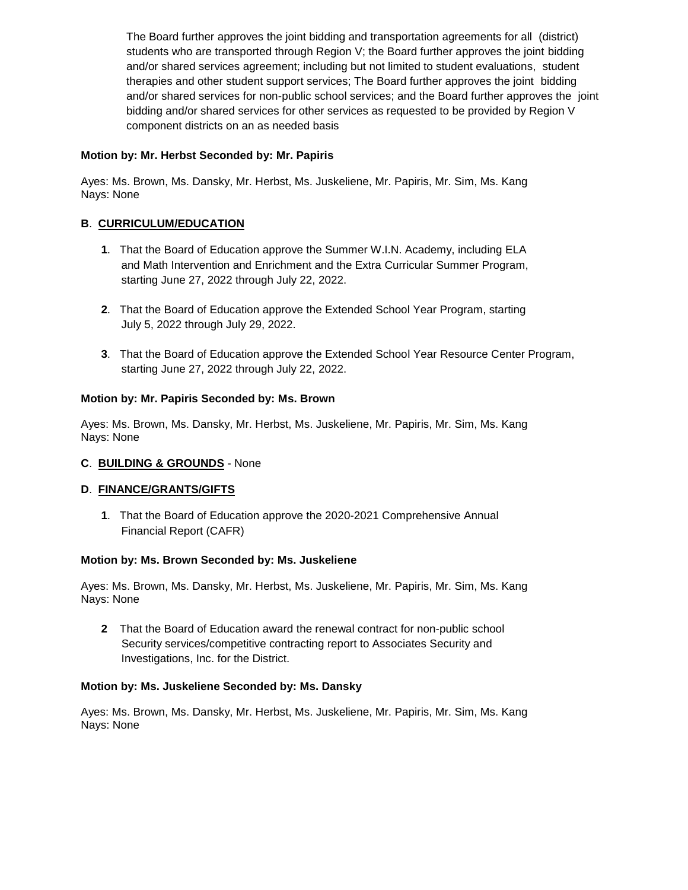The Board further approves the joint bidding and transportation agreements for all (district) students who are transported through Region V; the Board further approves the joint bidding and/or shared services agreement; including but not limited to student evaluations, student therapies and other student support services; The Board further approves the joint bidding and/or shared services for non-public school services; and the Board further approves the joint bidding and/or shared services for other services as requested to be provided by Region V component districts on an as needed basis

## **Motion by: Mr. Herbst Seconded by: Mr. Papiris**

Ayes: Ms. Brown, Ms. Dansky, Mr. Herbst, Ms. Juskeliene, Mr. Papiris, Mr. Sim, Ms. Kang Nays: None

## **B**. **CURRICULUM/EDUCATION**

- **1**. That the Board of Education approve the Summer W.I.N. Academy, including ELA and Math Intervention and Enrichment and the Extra Curricular Summer Program, starting June 27, 2022 through July 22, 2022.
- **2**. That the Board of Education approve the Extended School Year Program, starting July 5, 2022 through July 29, 2022.
- **3**. That the Board of Education approve the Extended School Year Resource Center Program, starting June 27, 2022 through July 22, 2022.

## **Motion by: Mr. Papiris Seconded by: Ms. Brown**

Ayes: Ms. Brown, Ms. Dansky, Mr. Herbst, Ms. Juskeliene, Mr. Papiris, Mr. Sim, Ms. Kang Nays: None

## **C**. **BUILDING & GROUNDS** - None

#### **D**. **FINANCE/GRANTS/GIFTS**

**1**. That the Board of Education approve the 2020-2021 Comprehensive Annual Financial Report (CAFR)

#### **Motion by: Ms. Brown Seconded by: Ms. Juskeliene**

Ayes: Ms. Brown, Ms. Dansky, Mr. Herbst, Ms. Juskeliene, Mr. Papiris, Mr. Sim, Ms. Kang Nays: None

**2** That the Board of Education award the renewal contract for non-public school Security services/competitive contracting report to Associates Security and Investigations, Inc. for the District.

#### **Motion by: Ms. Juskeliene Seconded by: Ms. Dansky**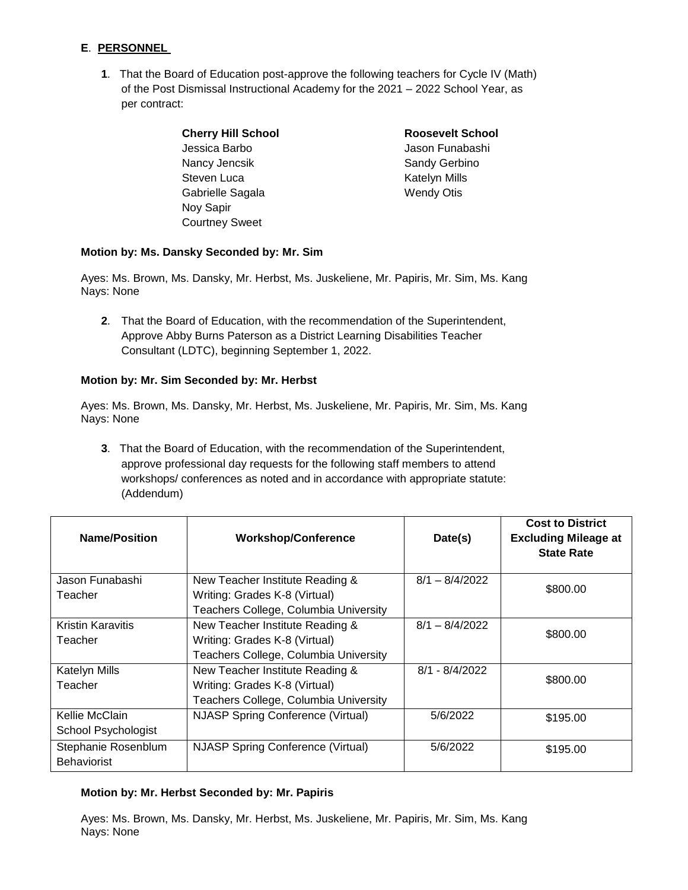## **E**. **PERSONNEL**

- **1**. That the Board of Education post-approve the following teachers for Cycle IV (Math) of the Post Dismissal Instructional Academy for the 2021 – 2022 School Year, as per contract:
	- **Cherry Hill School Roosevelt School** Jessica Barbo Jason Funabashi Nancy Jencsik Sandy Gerbino Steven Luca **Katelyn Mills** Gabrielle Sagala Wendy Otis Noy Sapir Courtney Sweet

## **Motion by: Ms. Dansky Seconded by: Mr. Sim**

Ayes: Ms. Brown, Ms. Dansky, Mr. Herbst, Ms. Juskeliene, Mr. Papiris, Mr. Sim, Ms. Kang Nays: None

**2**. That the Board of Education, with the recommendation of the Superintendent, Approve Abby Burns Paterson as a District Learning Disabilities Teacher Consultant (LDTC), beginning September 1, 2022.

## **Motion by: Mr. Sim Seconded by: Mr. Herbst**

Ayes: Ms. Brown, Ms. Dansky, Mr. Herbst, Ms. Juskeliene, Mr. Papiris, Mr. Sim, Ms. Kang Nays: None

**3**. That the Board of Education, with the recommendation of the Superintendent, approve professional day requests for the following staff members to attend workshops/ conferences as noted and in accordance with appropriate statute: (Addendum)

| <b>Name/Position</b>     | <b>Workshop/Conference</b>               | Date(s)          | <b>Cost to District</b><br><b>Excluding Mileage at</b><br><b>State Rate</b> |  |
|--------------------------|------------------------------------------|------------------|-----------------------------------------------------------------------------|--|
| Jason Funabashi          | New Teacher Institute Reading &          | $8/1 - 8/4/2022$ | \$800.00                                                                    |  |
| Teacher                  | Writing: Grades K-8 (Virtual)            |                  |                                                                             |  |
|                          | Teachers College, Columbia University    |                  |                                                                             |  |
| <b>Kristin Karavitis</b> | New Teacher Institute Reading &          | $8/1 - 8/4/2022$ | \$800.00                                                                    |  |
| Teacher                  | Writing: Grades K-8 (Virtual)            |                  |                                                                             |  |
|                          | Teachers College, Columbia University    |                  |                                                                             |  |
| <b>Katelyn Mills</b>     | New Teacher Institute Reading &          | $8/1 - 8/4/2022$ |                                                                             |  |
| Teacher                  | Writing: Grades K-8 (Virtual)            |                  | \$800.00                                                                    |  |
|                          | Teachers College, Columbia University    |                  |                                                                             |  |
| Kellie McClain           | <b>NJASP Spring Conference (Virtual)</b> | 5/6/2022         | \$195.00                                                                    |  |
| School Psychologist      |                                          |                  |                                                                             |  |
| Stephanie Rosenblum      | <b>NJASP Spring Conference (Virtual)</b> | 5/6/2022         | \$195.00                                                                    |  |
| <b>Behaviorist</b>       |                                          |                  |                                                                             |  |

## **Motion by: Mr. Herbst Seconded by: Mr. Papiris**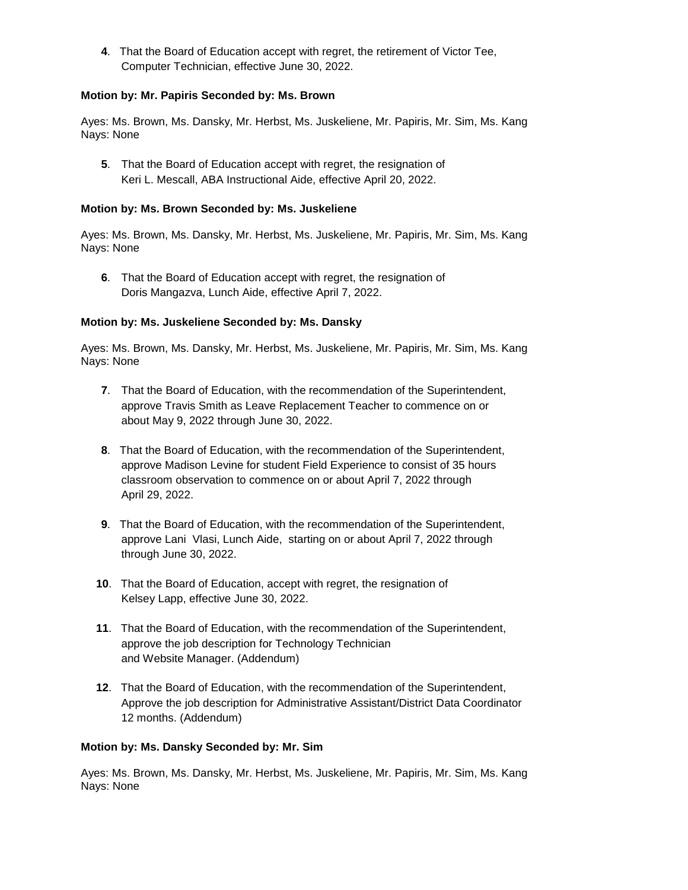**4**. That the Board of Education accept with regret, the retirement of Victor Tee, Computer Technician, effective June 30, 2022.

## **Motion by: Mr. Papiris Seconded by: Ms. Brown**

Ayes: Ms. Brown, Ms. Dansky, Mr. Herbst, Ms. Juskeliene, Mr. Papiris, Mr. Sim, Ms. Kang Nays: None

**5**. That the Board of Education accept with regret, the resignation of Keri L. Mescall, ABA Instructional Aide, effective April 20, 2022.

#### **Motion by: Ms. Brown Seconded by: Ms. Juskeliene**

Ayes: Ms. Brown, Ms. Dansky, Mr. Herbst, Ms. Juskeliene, Mr. Papiris, Mr. Sim, Ms. Kang Nays: None

**6**. That the Board of Education accept with regret, the resignation of Doris Mangazva, Lunch Aide, effective April 7, 2022.

## **Motion by: Ms. Juskeliene Seconded by: Ms. Dansky**

Ayes: Ms. Brown, Ms. Dansky, Mr. Herbst, Ms. Juskeliene, Mr. Papiris, Mr. Sim, Ms. Kang Nays: None

- **7**. That the Board of Education, with the recommendation of the Superintendent, approve Travis Smith as Leave Replacement Teacher to commence on or about May 9, 2022 through June 30, 2022.
- **8**. That the Board of Education, with the recommendation of the Superintendent, approve Madison Levine for student Field Experience to consist of 35 hours classroom observation to commence on or about April 7, 2022 through April 29, 2022.
- **9**. That the Board of Education, with the recommendation of the Superintendent, approve Lani Vlasi, Lunch Aide, starting on or about April 7, 2022 through through June 30, 2022.
- **10**. That the Board of Education, accept with regret, the resignation of Kelsey Lapp, effective June 30, 2022.
- **11**. That the Board of Education, with the recommendation of the Superintendent, approve the job description for Technology Technician and Website Manager. (Addendum)
- **12**. That the Board of Education, with the recommendation of the Superintendent, Approve the job description for Administrative Assistant/District Data Coordinator 12 months. (Addendum)

#### **Motion by: Ms. Dansky Seconded by: Mr. Sim**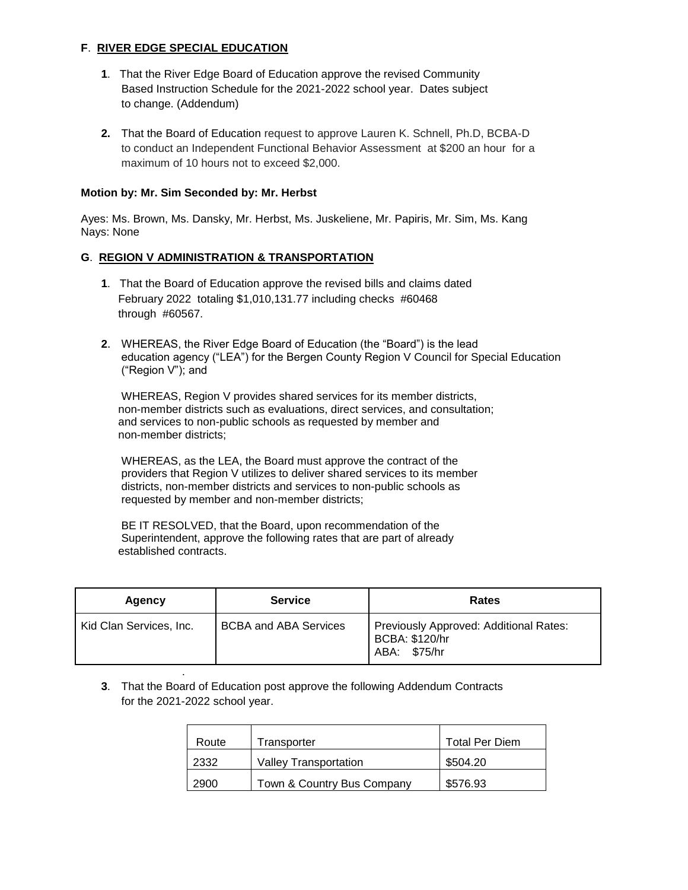## **F**. **RIVER EDGE SPECIAL EDUCATION**

- **1**. That the River Edge Board of Education approve the revised Community Based Instruction Schedule for the 2021-2022 school year. Dates subject to change. (Addendum)
- **2.** That the Board of Education request to approve Lauren K. Schnell, Ph.D, BCBA-D to conduct an Independent Functional Behavior Assessment at \$200 an hour for a maximum of 10 hours not to exceed \$2,000.

## **Motion by: Mr. Sim Seconded by: Mr. Herbst**

.

Ayes: Ms. Brown, Ms. Dansky, Mr. Herbst, Ms. Juskeliene, Mr. Papiris, Mr. Sim, Ms. Kang Nays: None

## **G**. **REGION V ADMINISTRATION & TRANSPORTATION**

- **1**. That the Board of Education approve the revised bills and claims dated February 2022 totaling \$1,010,131.77 including checks #60468 through #60567.
- **2**. WHEREAS, the River Edge Board of Education (the "Board") is the lead education agency ("LEA") for the Bergen County Region V Council for Special Education ("Region V"); and

WHEREAS, Region V provides shared services for its member districts, non-member districts such as evaluations, direct services, and consultation; and services to non-public schools as requested by member and non-member districts;

WHEREAS, as the LEA, the Board must approve the contract of the providers that Region V utilizes to deliver shared services to its member districts, non-member districts and services to non-public schools as requested by member and non-member districts;

BE IT RESOLVED, that the Board, upon recommendation of the Superintendent, approve the following rates that are part of already established contracts.

| Agency                  | <b>Service</b>               | <b>Rates</b>                                                                |
|-------------------------|------------------------------|-----------------------------------------------------------------------------|
| Kid Clan Services, Inc. | <b>BCBA and ABA Services</b> | Previously Approved: Additional Rates:<br>BCBA: \$120/hr<br>\$75/hr<br>ABA: |

**3**. That the Board of Education post approve the following Addendum Contracts for the 2021-2022 school year.

| Route | Transporter                  | <b>Total Per Diem</b> |
|-------|------------------------------|-----------------------|
| 2332  | <b>Valley Transportation</b> | \$504.20              |
| 2900  | Town & Country Bus Company   | \$576.93              |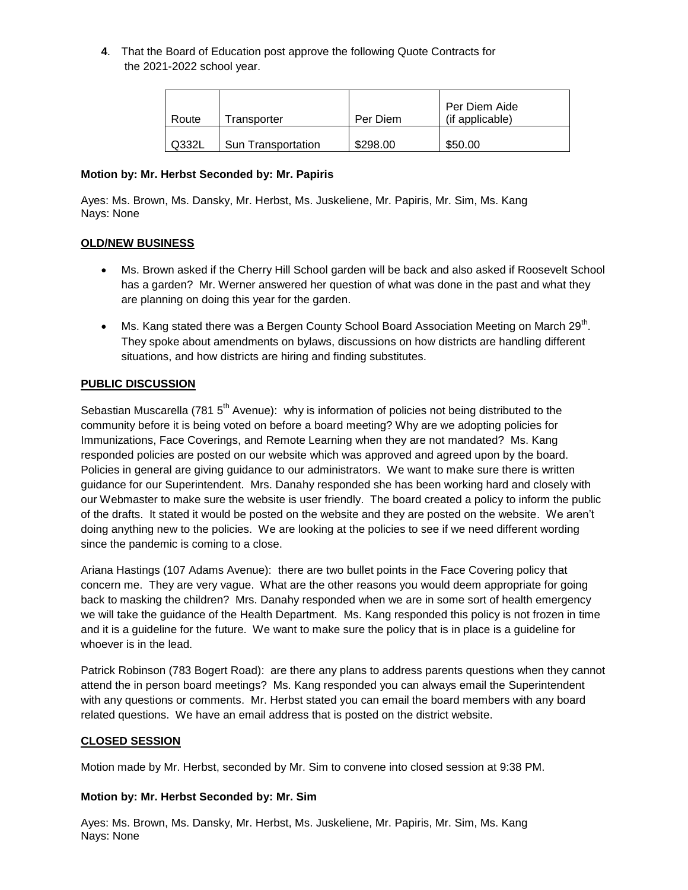**4**. That the Board of Education post approve the following Quote Contracts for the 2021-2022 school year.

| Route | Transporter               | Per Diem | Per Diem Aide<br>(if applicable) |
|-------|---------------------------|----------|----------------------------------|
| Q332L | <b>Sun Transportation</b> | \$298.00 | \$50.00                          |

## **Motion by: Mr. Herbst Seconded by: Mr. Papiris**

Ayes: Ms. Brown, Ms. Dansky, Mr. Herbst, Ms. Juskeliene, Mr. Papiris, Mr. Sim, Ms. Kang Nays: None

## **OLD/NEW BUSINESS**

- Ms. Brown asked if the Cherry Hill School garden will be back and also asked if Roosevelt School has a garden? Mr. Werner answered her question of what was done in the past and what they are planning on doing this year for the garden.
- Ms. Kang stated there was a Bergen County School Board Association Meeting on March 29<sup>th</sup>. They spoke about amendments on bylaws, discussions on how districts are handling different situations, and how districts are hiring and finding substitutes.

## **PUBLIC DISCUSSION**

Sebastian Muscarella (781  $5<sup>th</sup>$  Avenue): why is information of policies not being distributed to the community before it is being voted on before a board meeting? Why are we adopting policies for Immunizations, Face Coverings, and Remote Learning when they are not mandated? Ms. Kang responded policies are posted on our website which was approved and agreed upon by the board. Policies in general are giving guidance to our administrators. We want to make sure there is written guidance for our Superintendent. Mrs. Danahy responded she has been working hard and closely with our Webmaster to make sure the website is user friendly. The board created a policy to inform the public of the drafts. It stated it would be posted on the website and they are posted on the website. We aren't doing anything new to the policies. We are looking at the policies to see if we need different wording since the pandemic is coming to a close.

Ariana Hastings (107 Adams Avenue): there are two bullet points in the Face Covering policy that concern me. They are very vague. What are the other reasons you would deem appropriate for going back to masking the children? Mrs. Danahy responded when we are in some sort of health emergency we will take the guidance of the Health Department. Ms. Kang responded this policy is not frozen in time and it is a guideline for the future. We want to make sure the policy that is in place is a guideline for whoever is in the lead.

Patrick Robinson (783 Bogert Road): are there any plans to address parents questions when they cannot attend the in person board meetings? Ms. Kang responded you can always email the Superintendent with any questions or comments. Mr. Herbst stated you can email the board members with any board related questions. We have an email address that is posted on the district website.

## **CLOSED SESSION**

Motion made by Mr. Herbst, seconded by Mr. Sim to convene into closed session at 9:38 PM.

## **Motion by: Mr. Herbst Seconded by: Mr. Sim**